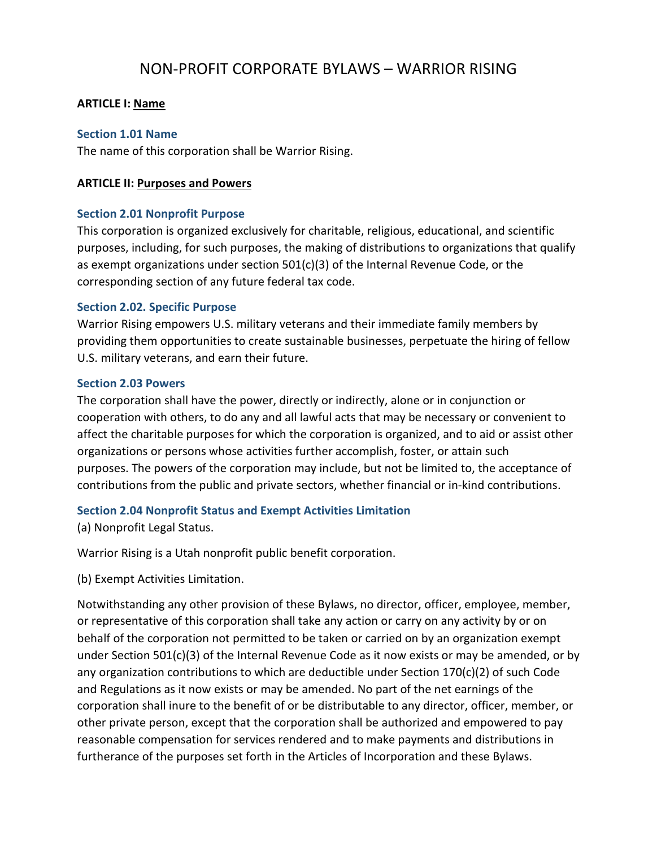# NON-PROFIT CORPORATE BYLAWS – WARRIOR RISING

## **ARTICLE I: Name**

#### **Section 1.01 Name**

The name of this corporation shall be Warrior Rising.

#### **ARTICLE II: Purposes and Powers**

#### **Section 2.01 Nonprofit Purpose**

This corporation is organized exclusively for charitable, religious, educational, and scientific purposes, including, for such purposes, the making of distributions to organizations that qualify as exempt organizations under section  $501(c)(3)$  of the Internal Revenue Code, or the corresponding section of any future federal tax code.

#### **Section 2.02. Specific Purpose**

Warrior Rising empowers U.S. military veterans and their immediate family members by providing them opportunities to create sustainable businesses, perpetuate the hiring of fellow U.S. military veterans, and earn their future.

#### **Section 2.03 Powers**

The corporation shall have the power, directly or indirectly, alone or in conjunction or cooperation with others, to do any and all lawful acts that may be necessary or convenient to affect the charitable purposes for which the corporation is organized, and to aid or assist other organizations or persons whose activities further accomplish, foster, or attain such purposes. The powers of the corporation may include, but not be limited to, the acceptance of contributions from the public and private sectors, whether financial or in-kind contributions.

### **Section 2.04 Nonprofit Status and Exempt Activities Limitation**

(a) Nonprofit Legal Status.

Warrior Rising is a Utah nonprofit public benefit corporation.

(b) Exempt Activities Limitation.

Notwithstanding any other provision of these Bylaws, no director, officer, employee, member, or representative of this corporation shall take any action or carry on any activity by or on behalf of the corporation not permitted to be taken or carried on by an organization exempt under Section 501(c)(3) of the Internal Revenue Code as it now exists or may be amended, or by any organization contributions to which are deductible under Section 170(c)(2) of such Code and Regulations as it now exists or may be amended. No part of the net earnings of the corporation shall inure to the benefit of or be distributable to any director, officer, member, or other private person, except that the corporation shall be authorized and empowered to pay reasonable compensation for services rendered and to make payments and distributions in furtherance of the purposes set forth in the Articles of Incorporation and these Bylaws.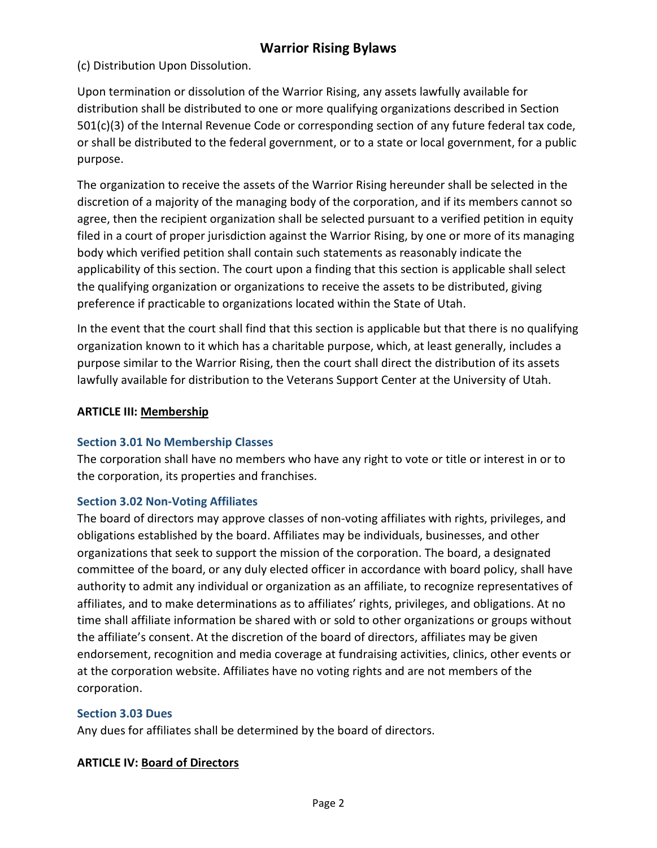(c) Distribution Upon Dissolution.

Upon termination or dissolution of the Warrior Rising, any assets lawfully available for distribution shall be distributed to one or more qualifying organizations described in Section 501(c)(3) of the Internal Revenue Code or corresponding section of any future federal tax code, or shall be distributed to the federal government, or to a state or local government, for a public purpose.

The organization to receive the assets of the Warrior Rising hereunder shall be selected in the discretion of a majority of the managing body of the corporation, and if its members cannot so agree, then the recipient organization shall be selected pursuant to a verified petition in equity filed in a court of proper jurisdiction against the Warrior Rising, by one or more of its managing body which verified petition shall contain such statements as reasonably indicate the applicability of this section. The court upon a finding that this section is applicable shall select the qualifying organization or organizations to receive the assets to be distributed, giving preference if practicable to organizations located within the State of Utah.

In the event that the court shall find that this section is applicable but that there is no qualifying organization known to it which has a charitable purpose, which, at least generally, includes a purpose similar to the Warrior Rising, then the court shall direct the distribution of its assets lawfully available for distribution to the Veterans Support Center at the University of Utah.

# **ARTICLE III: Membership**

# **Section 3.01 No Membership Classes**

The corporation shall have no members who have any right to vote or title or interest in or to the corporation, its properties and franchises.

# **Section 3.02 Non-Voting Affiliates**

The board of directors may approve classes of non-voting affiliates with rights, privileges, and obligations established by the board. Affiliates may be individuals, businesses, and other organizations that seek to support the mission of the corporation. The board, a designated committee of the board, or any duly elected officer in accordance with board policy, shall have authority to admit any individual or organization as an affiliate, to recognize representatives of affiliates, and to make determinations as to affiliates' rights, privileges, and obligations. At no time shall affiliate information be shared with or sold to other organizations or groups without the affiliate's consent. At the discretion of the board of directors, affiliates may be given endorsement, recognition and media coverage at fundraising activities, clinics, other events or at the corporation website. Affiliates have no voting rights and are not members of the corporation.

# **Section 3.03 Dues**

Any dues for affiliates shall be determined by the board of directors.

# **ARTICLE IV: Board of Directors**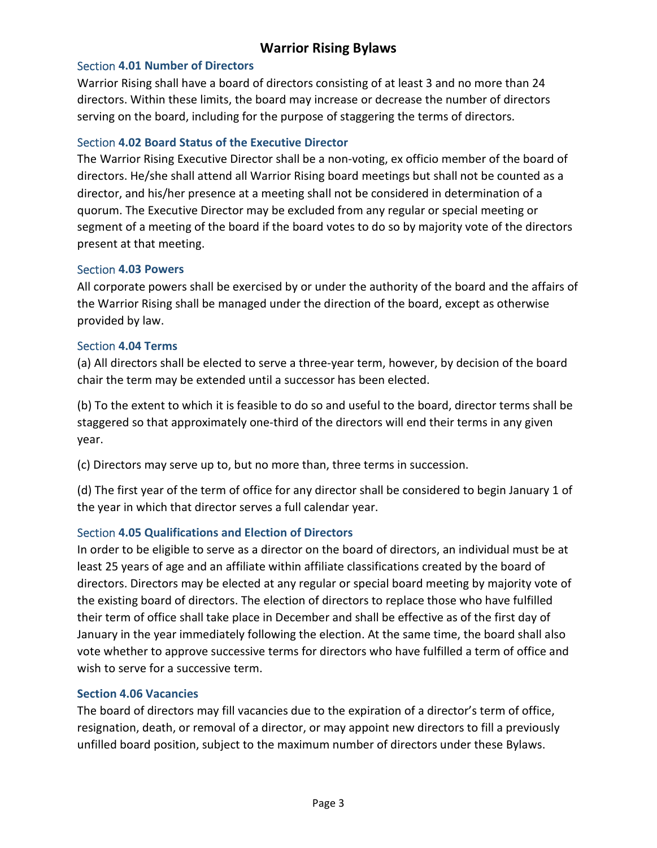## Section **4.01 Number of Directors**

Warrior Rising shall have a board of directors consisting of at least 3 and no more than 24 directors. Within these limits, the board may increase or decrease the number of directors serving on the board, including for the purpose of staggering the terms of directors.

## Section **4.02 Board Status of the Executive Director**

The Warrior Rising Executive Director shall be a non-voting, ex officio member of the board of directors. He/she shall attend all Warrior Rising board meetings but shall not be counted as a director, and his/her presence at a meeting shall not be considered in determination of a quorum. The Executive Director may be excluded from any regular or special meeting or segment of a meeting of the board if the board votes to do so by majority vote of the directors present at that meeting.

### Section **4.03 Powers**

All corporate powers shall be exercised by or under the authority of the board and the affairs of the Warrior Rising shall be managed under the direction of the board, except as otherwise provided by law.

### Section **4.04 Terms**

(a) All directors shall be elected to serve a three-year term, however, by decision of the board chair the term may be extended until a successor has been elected.

(b) To the extent to which it is feasible to do so and useful to the board, director terms shall be staggered so that approximately one-third of the directors will end their terms in any given year.

(c) Directors may serve up to, but no more than, three terms in succession.

(d) The first year of the term of office for any director shall be considered to begin January 1 of the year in which that director serves a full calendar year.

### Section **4.05 Qualifications and Election of Directors**

In order to be eligible to serve as a director on the board of directors, an individual must be at least 25 years of age and an affiliate within affiliate classifications created by the board of directors. Directors may be elected at any regular or special board meeting by majority vote of the existing board of directors. The election of directors to replace those who have fulfilled their term of office shall take place in December and shall be effective as of the first day of January in the year immediately following the election. At the same time, the board shall also vote whether to approve successive terms for directors who have fulfilled a term of office and wish to serve for a successive term.

### **Section 4.06 Vacancies**

The board of directors may fill vacancies due to the expiration of a director's term of office, resignation, death, or removal of a director, or may appoint new directors to fill a previously unfilled board position, subject to the maximum number of directors under these Bylaws.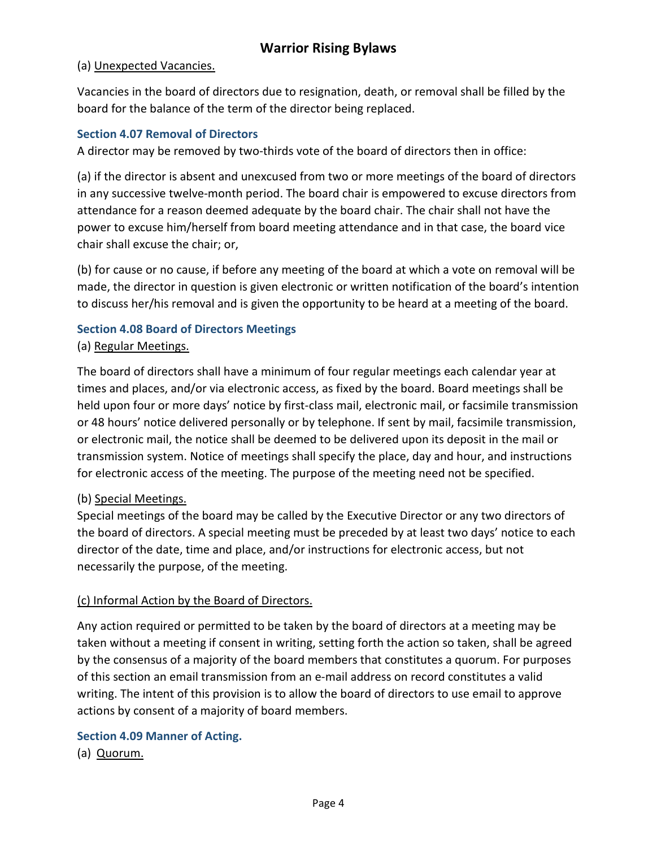# (a) Unexpected Vacancies.

Vacancies in the board of directors due to resignation, death, or removal shall be filled by the board for the balance of the term of the director being replaced.

## **Section 4.07 Removal of Directors**

A director may be removed by two-thirds vote of the board of directors then in office:

(a) if the director is absent and unexcused from two or more meetings of the board of directors in any successive twelve-month period. The board chair is empowered to excuse directors from attendance for a reason deemed adequate by the board chair. The chair shall not have the power to excuse him/herself from board meeting attendance and in that case, the board vice chair shall excuse the chair; or,

(b) for cause or no cause, if before any meeting of the board at which a vote on removal will be made, the director in question is given electronic or written notification of the board's intention to discuss her/his removal and is given the opportunity to be heard at a meeting of the board.

# **Section 4.08 Board of Directors Meetings**

## (a) Regular Meetings.

The board of directors shall have a minimum of four regular meetings each calendar year at times and places, and/or via electronic access, as fixed by the board. Board meetings shall be held upon four or more days' notice by first-class mail, electronic mail, or facsimile transmission or 48 hours' notice delivered personally or by telephone. If sent by mail, facsimile transmission, or electronic mail, the notice shall be deemed to be delivered upon its deposit in the mail or transmission system. Notice of meetings shall specify the place, day and hour, and instructions for electronic access of the meeting. The purpose of the meeting need not be specified.

# (b) Special Meetings.

Special meetings of the board may be called by the Executive Director or any two directors of the board of directors. A special meeting must be preceded by at least two days' notice to each director of the date, time and place, and/or instructions for electronic access, but not necessarily the purpose, of the meeting.

# (c) Informal Action by the Board of Directors.

Any action required or permitted to be taken by the board of directors at a meeting may be taken without a meeting if consent in writing, setting forth the action so taken, shall be agreed by the consensus of a majority of the board members that constitutes a quorum. For purposes of this section an email transmission from an e-mail address on record constitutes a valid writing. The intent of this provision is to allow the board of directors to use email to approve actions by consent of a majority of board members.

# **Section 4.09 Manner of Acting.**

(a) Quorum.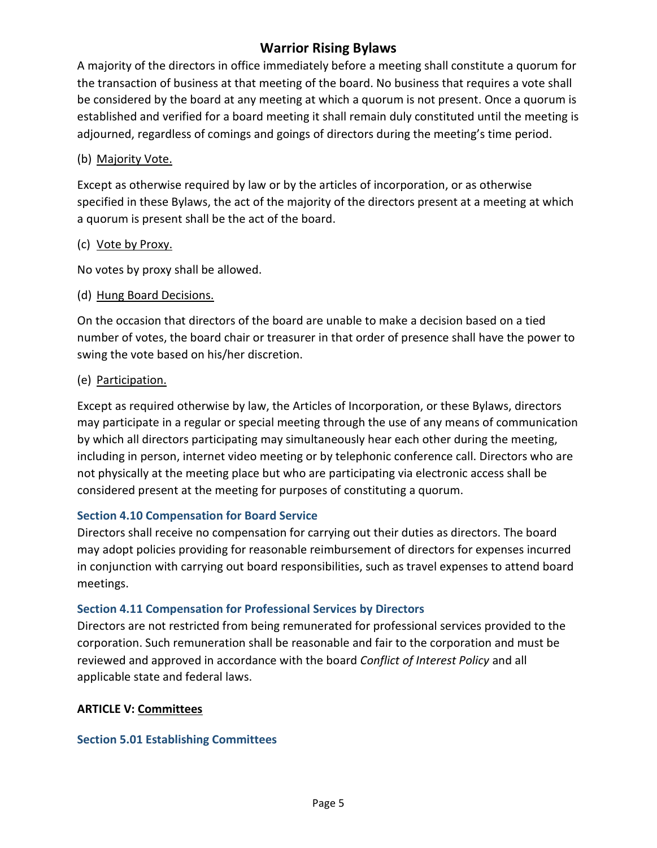A majority of the directors in office immediately before a meeting shall constitute a quorum for the transaction of business at that meeting of the board. No business that requires a vote shall be considered by the board at any meeting at which a quorum is not present. Once a quorum is established and verified for a board meeting it shall remain duly constituted until the meeting is adjourned, regardless of comings and goings of directors during the meeting's time period.

## (b) Majority Vote.

Except as otherwise required by law or by the articles of incorporation, or as otherwise specified in these Bylaws, the act of the majority of the directors present at a meeting at which a quorum is present shall be the act of the board.

### (c) Vote by Proxy.

No votes by proxy shall be allowed.

# (d) Hung Board Decisions.

On the occasion that directors of the board are unable to make a decision based on a tied number of votes, the board chair or treasurer in that order of presence shall have the power to swing the vote based on his/her discretion.

# (e) Participation.

Except as required otherwise by law, the Articles of Incorporation, or these Bylaws, directors may participate in a regular or special meeting through the use of any means of communication by which all directors participating may simultaneously hear each other during the meeting, including in person, internet video meeting or by telephonic conference call. Directors who are not physically at the meeting place but who are participating via electronic access shall be considered present at the meeting for purposes of constituting a quorum.

# **Section 4.10 Compensation for Board Service**

Directors shall receive no compensation for carrying out their duties as directors. The board may adopt policies providing for reasonable reimbursement of directors for expenses incurred in conjunction with carrying out board responsibilities, such as travel expenses to attend board meetings.

# **Section 4.11 Compensation for Professional Services by Directors**

Directors are not restricted from being remunerated for professional services provided to the corporation. Such remuneration shall be reasonable and fair to the corporation and must be reviewed and approved in accordance with the board *Conflict of Interest Policy* and all applicable state and federal laws.

# **ARTICLE V: Committees**

# **Section 5.01 Establishing Committees**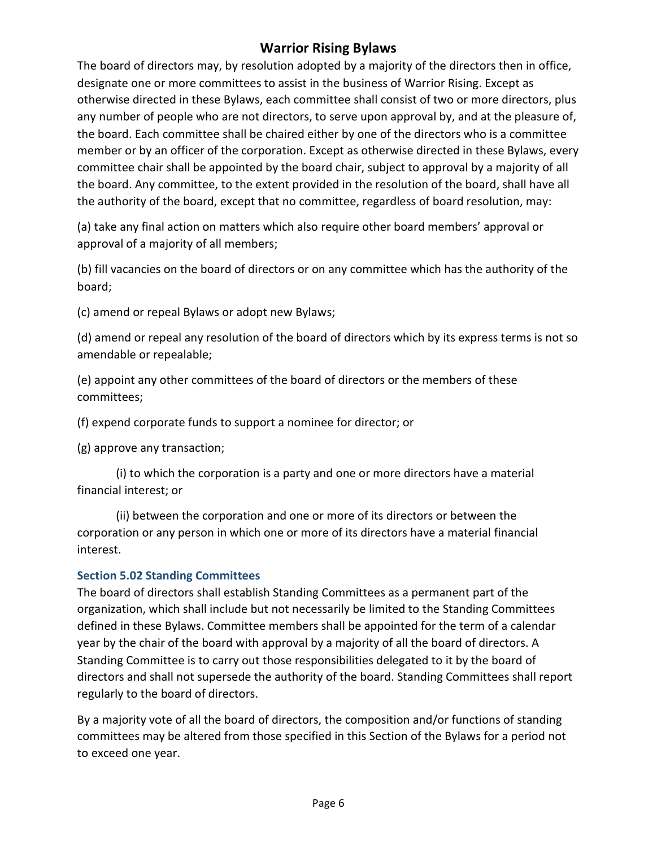The board of directors may, by resolution adopted by a majority of the directors then in office, designate one or more committees to assist in the business of Warrior Rising. Except as otherwise directed in these Bylaws, each committee shall consist of two or more directors, plus any number of people who are not directors, to serve upon approval by, and at the pleasure of, the board. Each committee shall be chaired either by one of the directors who is a committee member or by an officer of the corporation. Except as otherwise directed in these Bylaws, every committee chair shall be appointed by the board chair, subject to approval by a majority of all the board. Any committee, to the extent provided in the resolution of the board, shall have all the authority of the board, except that no committee, regardless of board resolution, may:

(a) take any final action on matters which also require other board members' approval or approval of a majority of all members;

(b) fill vacancies on the board of directors or on any committee which has the authority of the board;

(c) amend or repeal Bylaws or adopt new Bylaws;

(d) amend or repeal any resolution of the board of directors which by its express terms is not so amendable or repealable;

(e) appoint any other committees of the board of directors or the members of these committees;

(f) expend corporate funds to support a nominee for director; or

(g) approve any transaction;

(i) to which the corporation is a party and one or more directors have a material financial interest; or

(ii) between the corporation and one or more of its directors or between the corporation or any person in which one or more of its directors have a material financial interest.

# **Section 5.02 Standing Committees**

The board of directors shall establish Standing Committees as a permanent part of the organization, which shall include but not necessarily be limited to the Standing Committees defined in these Bylaws. Committee members shall be appointed for the term of a calendar year by the chair of the board with approval by a majority of all the board of directors. A Standing Committee is to carry out those responsibilities delegated to it by the board of directors and shall not supersede the authority of the board. Standing Committees shall report regularly to the board of directors.

By a majority vote of all the board of directors, the composition and/or functions of standing committees may be altered from those specified in this Section of the Bylaws for a period not to exceed one year.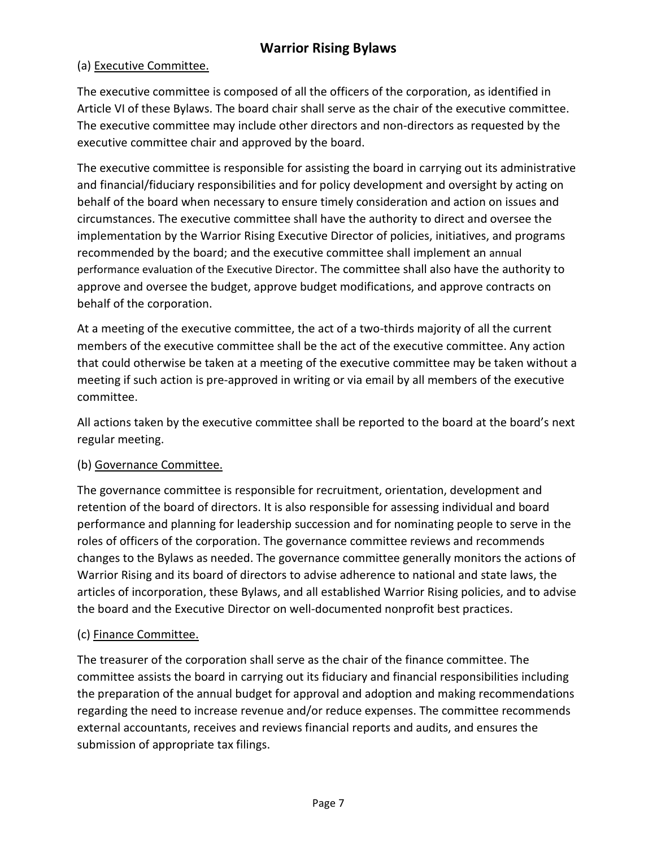# (a) Executive Committee.

The executive committee is composed of all the officers of the corporation, as identified in Article VI of these Bylaws. The board chair shall serve as the chair of the executive committee. The executive committee may include other directors and non-directors as requested by the executive committee chair and approved by the board.

The executive committee is responsible for assisting the board in carrying out its administrative and financial/fiduciary responsibilities and for policy development and oversight by acting on behalf of the board when necessary to ensure timely consideration and action on issues and circumstances. The executive committee shall have the authority to direct and oversee the implementation by the Warrior Rising Executive Director of policies, initiatives, and programs recommended by the board; and the executive committee shall implement an annual performance evaluation of the Executive Director. The committee shall also have the authority to approve and oversee the budget, approve budget modifications, and approve contracts on behalf of the corporation.

At a meeting of the executive committee, the act of a two-thirds majority of all the current members of the executive committee shall be the act of the executive committee. Any action that could otherwise be taken at a meeting of the executive committee may be taken without a meeting if such action is pre-approved in writing or via email by all members of the executive committee.

All actions taken by the executive committee shall be reported to the board at the board's next regular meeting.

# (b) Governance Committee.

The governance committee is responsible for recruitment, orientation, development and retention of the board of directors. It is also responsible for assessing individual and board performance and planning for leadership succession and for nominating people to serve in the roles of officers of the corporation. The governance committee reviews and recommends changes to the Bylaws as needed. The governance committee generally monitors the actions of Warrior Rising and its board of directors to advise adherence to national and state laws, the articles of incorporation, these Bylaws, and all established Warrior Rising policies, and to advise the board and the Executive Director on well-documented nonprofit best practices.

### (c) Finance Committee.

The treasurer of the corporation shall serve as the chair of the finance committee. The committee assists the board in carrying out its fiduciary and financial responsibilities including the preparation of the annual budget for approval and adoption and making recommendations regarding the need to increase revenue and/or reduce expenses. The committee recommends external accountants, receives and reviews financial reports and audits, and ensures the submission of appropriate tax filings.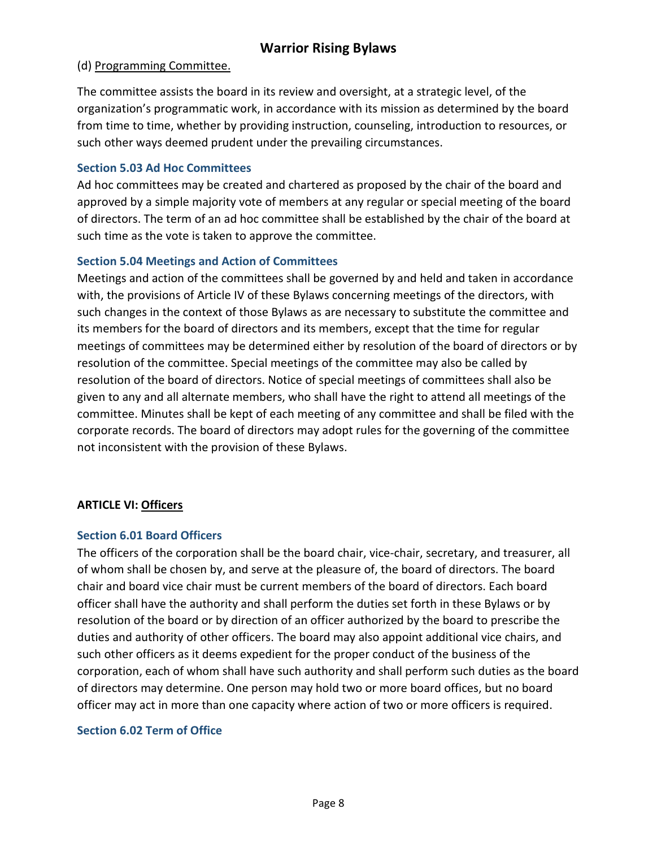## (d) Programming Committee.

The committee assists the board in its review and oversight, at a strategic level, of the organization's programmatic work, in accordance with its mission as determined by the board from time to time, whether by providing instruction, counseling, introduction to resources, or such other ways deemed prudent under the prevailing circumstances.

## **Section 5.03 Ad Hoc Committees**

Ad hoc committees may be created and chartered as proposed by the chair of the board and approved by a simple majority vote of members at any regular or special meeting of the board of directors. The term of an ad hoc committee shall be established by the chair of the board at such time as the vote is taken to approve the committee.

# **Section 5.04 Meetings and Action of Committees**

Meetings and action of the committees shall be governed by and held and taken in accordance with, the provisions of Article IV of these Bylaws concerning meetings of the directors, with such changes in the context of those Bylaws as are necessary to substitute the committee and its members for the board of directors and its members, except that the time for regular meetings of committees may be determined either by resolution of the board of directors or by resolution of the committee. Special meetings of the committee may also be called by resolution of the board of directors. Notice of special meetings of committees shall also be given to any and all alternate members, who shall have the right to attend all meetings of the committee. Minutes shall be kept of each meeting of any committee and shall be filed with the corporate records. The board of directors may adopt rules for the governing of the committee not inconsistent with the provision of these Bylaws.

### **ARTICLE VI: Officers**

# **Section 6.01 Board Officers**

The officers of the corporation shall be the board chair, vice-chair, secretary, and treasurer, all of whom shall be chosen by, and serve at the pleasure of, the board of directors. The board chair and board vice chair must be current members of the board of directors. Each board officer shall have the authority and shall perform the duties set forth in these Bylaws or by resolution of the board or by direction of an officer authorized by the board to prescribe the duties and authority of other officers. The board may also appoint additional vice chairs, and such other officers as it deems expedient for the proper conduct of the business of the corporation, each of whom shall have such authority and shall perform such duties as the board of directors may determine. One person may hold two or more board offices, but no board officer may act in more than one capacity where action of two or more officers is required.

### **Section 6.02 Term of Office**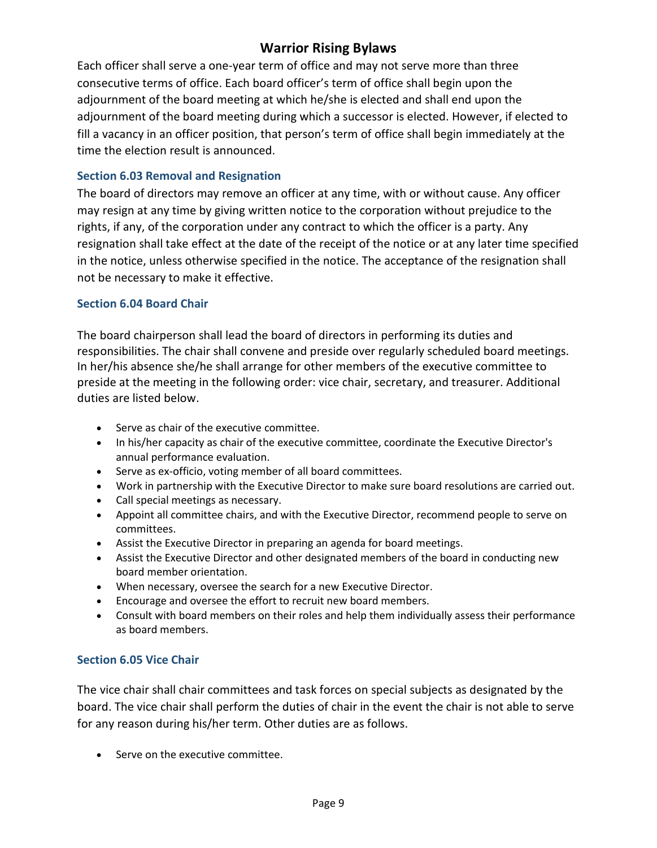Each officer shall serve a one-year term of office and may not serve more than three consecutive terms of office. Each board officer's term of office shall begin upon the adjournment of the board meeting at which he/she is elected and shall end upon the adjournment of the board meeting during which a successor is elected. However, if elected to fill a vacancy in an officer position, that person's term of office shall begin immediately at the time the election result is announced.

# **Section 6.03 Removal and Resignation**

The board of directors may remove an officer at any time, with or without cause. Any officer may resign at any time by giving written notice to the corporation without prejudice to the rights, if any, of the corporation under any contract to which the officer is a party. Any resignation shall take effect at the date of the receipt of the notice or at any later time specified in the notice, unless otherwise specified in the notice. The acceptance of the resignation shall not be necessary to make it effective.

## **Section 6.04 Board Chair**

The board chairperson shall lead the board of directors in performing its duties and responsibilities. The chair shall convene and preside over regularly scheduled board meetings. In her/his absence she/he shall arrange for other members of the executive committee to preside at the meeting in the following order: vice chair, secretary, and treasurer. Additional duties are listed below.

- Serve as chair of the executive committee.
- In his/her capacity as chair of the executive committee, coordinate the Executive Director's annual performance evaluation.
- Serve as ex-officio, voting member of all board committees.
- Work in partnership with the Executive Director to make sure board resolutions are carried out.
- Call special meetings as necessary.
- Appoint all committee chairs, and with the Executive Director, recommend people to serve on committees.
- Assist the Executive Director in preparing an agenda for board meetings.
- Assist the Executive Director and other designated members of the board in conducting new board member orientation.
- When necessary, oversee the search for a new Executive Director.
- Encourage and oversee the effort to recruit new board members.
- Consult with board members on their roles and help them individually assess their performance as board members.

# **Section 6.05 Vice Chair**

The vice chair shall chair committees and task forces on special subjects as designated by the board. The vice chair shall perform the duties of chair in the event the chair is not able to serve for any reason during his/her term. Other duties are as follows.

• Serve on the executive committee.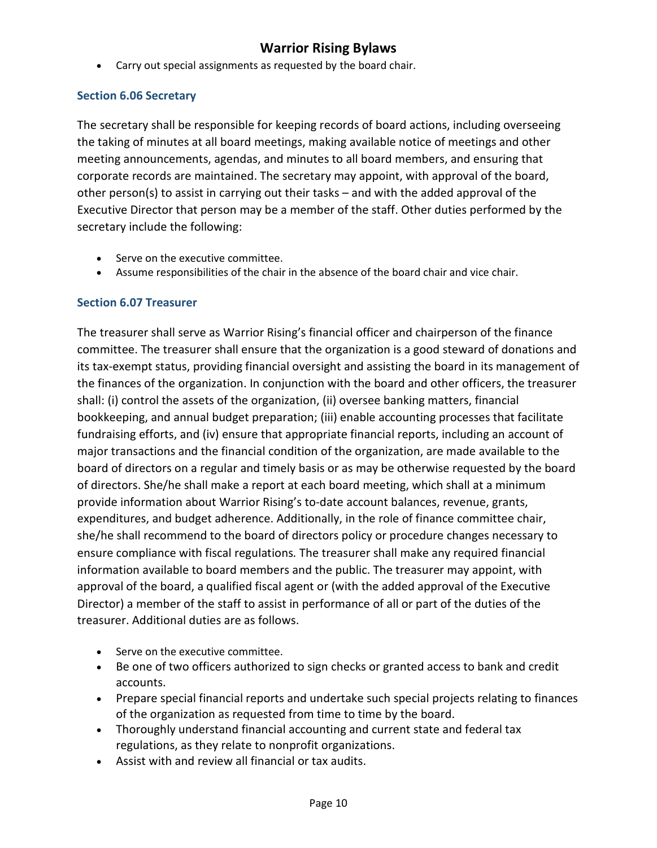Carry out special assignments as requested by the board chair.

# **Section 6.06 Secretary**

The secretary shall be responsible for keeping records of board actions, including overseeing the taking of minutes at all board meetings, making available notice of meetings and other meeting announcements, agendas, and minutes to all board members, and ensuring that corporate records are maintained. The secretary may appoint, with approval of the board, other person(s) to assist in carrying out their tasks – and with the added approval of the Executive Director that person may be a member of the staff. Other duties performed by the secretary include the following:

- Serve on the executive committee.
- Assume responsibilities of the chair in the absence of the board chair and vice chair.

# **Section 6.07 Treasurer**

The treasurer shall serve as Warrior Rising's financial officer and chairperson of the finance committee. The treasurer shall ensure that the organization is a good steward of donations and its tax-exempt status, providing financial oversight and assisting the board in its management of the finances of the organization. In conjunction with the board and other officers, the treasurer shall: (i) control the assets of the organization, (ii) oversee banking matters, financial bookkeeping, and annual budget preparation; (iii) enable accounting processes that facilitate fundraising efforts, and (iv) ensure that appropriate financial reports, including an account of major transactions and the financial condition of the organization, are made available to the board of directors on a regular and timely basis or as may be otherwise requested by the board of directors. She/he shall make a report at each board meeting, which shall at a minimum provide information about Warrior Rising's to-date account balances, revenue, grants, expenditures, and budget adherence. Additionally, in the role of finance committee chair, she/he shall recommend to the board of directors policy or procedure changes necessary to ensure compliance with fiscal regulations*.* The treasurer shall make any required financial information available to board members and the public. The treasurer may appoint, with approval of the board, a qualified fiscal agent or (with the added approval of the Executive Director) a member of the staff to assist in performance of all or part of the duties of the treasurer. Additional duties are as follows.

- Serve on the executive committee.
- Be one of two officers authorized to sign checks or granted access to bank and credit accounts.
- Prepare special financial reports and undertake such special projects relating to finances of the organization as requested from time to time by the board.
- Thoroughly understand financial accounting and current state and federal tax regulations, as they relate to nonprofit organizations.
- Assist with and review all financial or tax audits.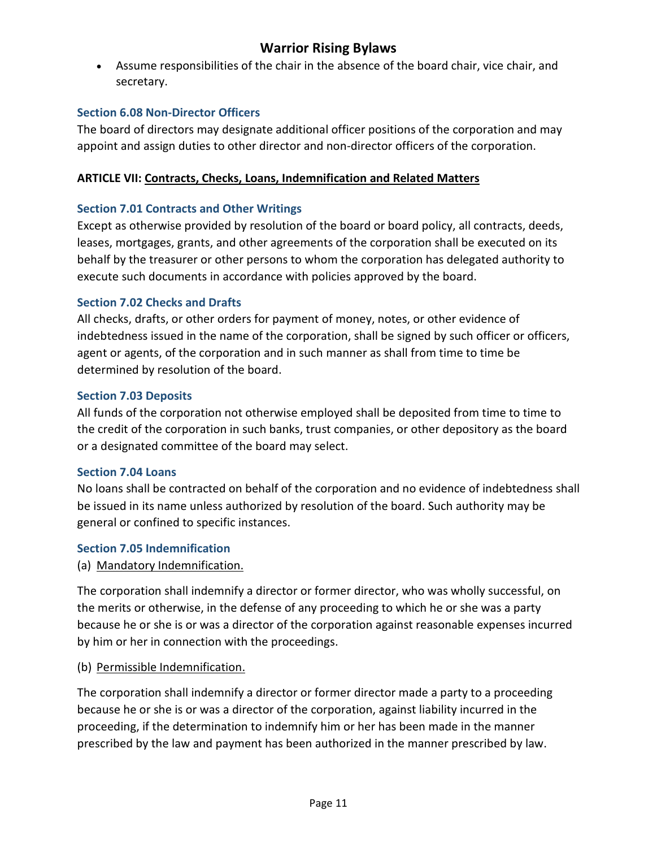Assume responsibilities of the chair in the absence of the board chair, vice chair, and secretary.

## **Section 6.08 Non-Director Officers**

The board of directors may designate additional officer positions of the corporation and may appoint and assign duties to other director and non-director officers of the corporation.

## **ARTICLE VII: Contracts, Checks, Loans, Indemnification and Related Matters**

## **Section 7.01 Contracts and Other Writings**

Except as otherwise provided by resolution of the board or board policy, all contracts, deeds, leases, mortgages, grants, and other agreements of the corporation shall be executed on its behalf by the treasurer or other persons to whom the corporation has delegated authority to execute such documents in accordance with policies approved by the board.

### **Section 7.02 Checks and Drafts**

All checks, drafts, or other orders for payment of money, notes, or other evidence of indebtedness issued in the name of the corporation, shall be signed by such officer or officers, agent or agents, of the corporation and in such manner as shall from time to time be determined by resolution of the board.

### **Section 7.03 Deposits**

All funds of the corporation not otherwise employed shall be deposited from time to time to the credit of the corporation in such banks, trust companies, or other depository as the board or a designated committee of the board may select.

### **Section 7.04 Loans**

No loans shall be contracted on behalf of the corporation and no evidence of indebtedness shall be issued in its name unless authorized by resolution of the board. Such authority may be general or confined to specific instances.

### **Section 7.05 Indemnification**

(a) Mandatory Indemnification.

The corporation shall indemnify a director or former director, who was wholly successful, on the merits or otherwise, in the defense of any proceeding to which he or she was a party because he or she is or was a director of the corporation against reasonable expenses incurred by him or her in connection with the proceedings.

### (b) Permissible Indemnification.

The corporation shall indemnify a director or former director made a party to a proceeding because he or she is or was a director of the corporation, against liability incurred in the proceeding, if the determination to indemnify him or her has been made in the manner prescribed by the law and payment has been authorized in the manner prescribed by law.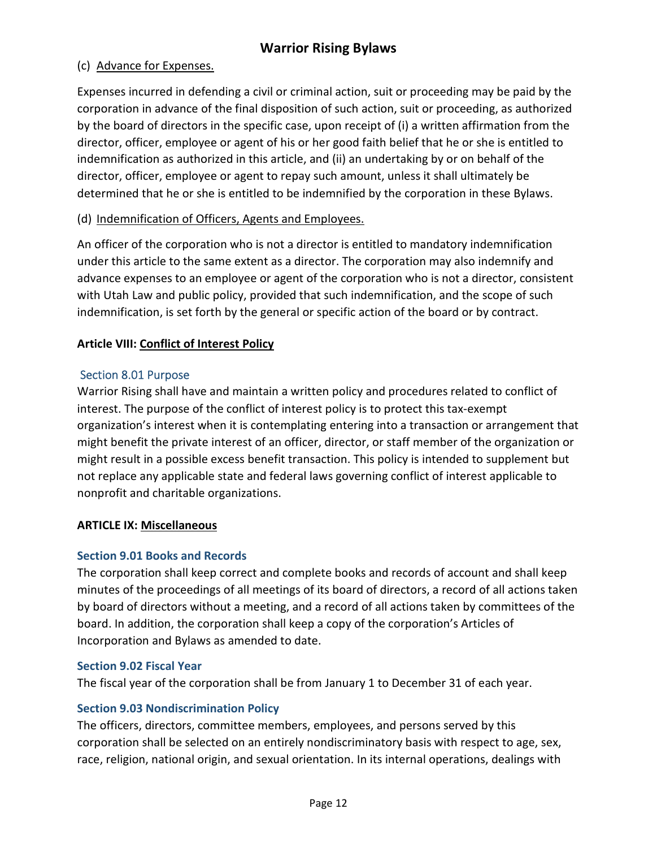# (c) Advance for Expenses.

Expenses incurred in defending a civil or criminal action, suit or proceeding may be paid by the corporation in advance of the final disposition of such action, suit or proceeding, as authorized by the board of directors in the specific case, upon receipt of (i) a written affirmation from the director, officer, employee or agent of his or her good faith belief that he or she is entitled to indemnification as authorized in this article, and (ii) an undertaking by or on behalf of the director, officer, employee or agent to repay such amount, unless it shall ultimately be determined that he or she is entitled to be indemnified by the corporation in these Bylaws.

## (d) Indemnification of Officers, Agents and Employees.

An officer of the corporation who is not a director is entitled to mandatory indemnification under this article to the same extent as a director. The corporation may also indemnify and advance expenses to an employee or agent of the corporation who is not a director, consistent with Utah Law and public policy, provided that such indemnification, and the scope of such indemnification, is set forth by the general or specific action of the board or by contract.

## **Article VIII: Conflict of Interest Policy**

## Section 8.01 Purpose

Warrior Rising shall have and maintain a written policy and procedures related to conflict of interest. The purpose of the conflict of interest policy is to protect this tax-exempt organization's interest when it is contemplating entering into a transaction or arrangement that might benefit the private interest of an officer, director, or staff member of the organization or might result in a possible excess benefit transaction. This policy is intended to supplement but not replace any applicable state and federal laws governing conflict of interest applicable to nonprofit and charitable organizations.

### **ARTICLE IX: Miscellaneous**

### **Section 9.01 Books and Records**

The corporation shall keep correct and complete books and records of account and shall keep minutes of the proceedings of all meetings of its board of directors, a record of all actions taken by board of directors without a meeting, and a record of all actions taken by committees of the board. In addition, the corporation shall keep a copy of the corporation's Articles of Incorporation and Bylaws as amended to date.

### **Section 9.02 Fiscal Year**

The fiscal year of the corporation shall be from January 1 to December 31 of each year.

### **Section 9.03 Nondiscrimination Policy**

The officers, directors, committee members, employees, and persons served by this corporation shall be selected on an entirely nondiscriminatory basis with respect to age, sex, race, religion, national origin, and sexual orientation. In its internal operations, dealings with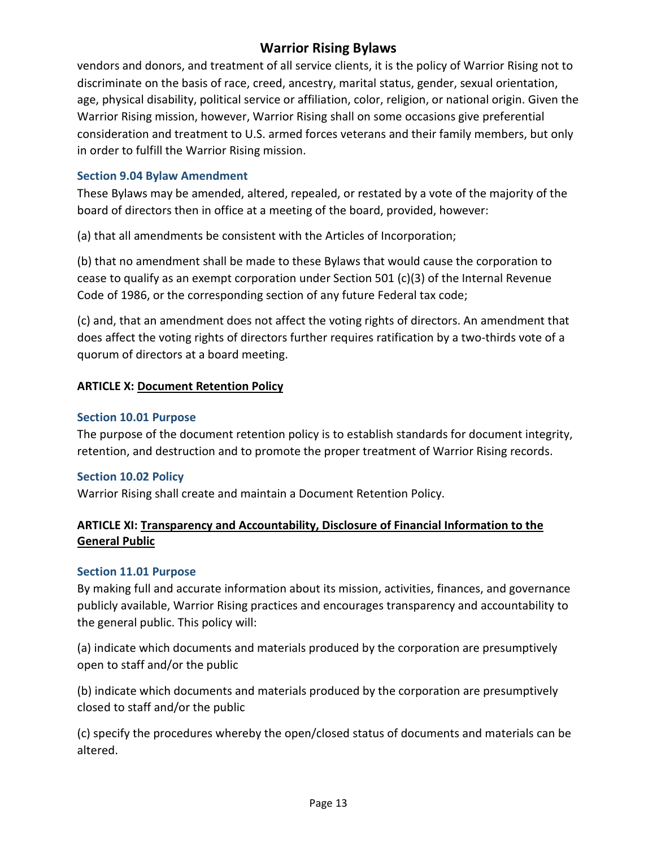vendors and donors, and treatment of all service clients, it is the policy of Warrior Rising not to discriminate on the basis of race, creed, ancestry, marital status, gender, sexual orientation, age, physical disability, political service or affiliation, color, religion, or national origin. Given the Warrior Rising mission, however, Warrior Rising shall on some occasions give preferential consideration and treatment to U.S. armed forces veterans and their family members, but only in order to fulfill the Warrior Rising mission.

## **Section 9.04 Bylaw Amendment**

These Bylaws may be amended, altered, repealed, or restated by a vote of the majority of the board of directors then in office at a meeting of the board, provided, however:

(a) that all amendments be consistent with the Articles of Incorporation;

(b) that no amendment shall be made to these Bylaws that would cause the corporation to cease to qualify as an exempt corporation under Section 501 (c)(3) of the Internal Revenue Code of 1986, or the corresponding section of any future Federal tax code;

(c) and, that an amendment does not affect the voting rights of directors. An amendment that does affect the voting rights of directors further requires ratification by a two-thirds vote of a quorum of directors at a board meeting.

## **ARTICLE X: Document Retention Policy**

## **Section 10.01 Purpose**

The purpose of the document retention policy is to establish standards for document integrity, retention, and destruction and to promote the proper treatment of Warrior Rising records.

### **Section 10.02 Policy**

Warrior Rising shall create and maintain a Document Retention Policy.

# **ARTICLE XI: Transparency and Accountability, Disclosure of Financial Information to the General Public**

### **Section 11.01 Purpose**

By making full and accurate information about its mission, activities, finances, and governance publicly available, Warrior Rising practices and encourages transparency and accountability to the general public. This policy will:

(a) indicate which documents and materials produced by the corporation are presumptively open to staff and/or the public

(b) indicate which documents and materials produced by the corporation are presumptively closed to staff and/or the public

(c) specify the procedures whereby the open/closed status of documents and materials can be altered.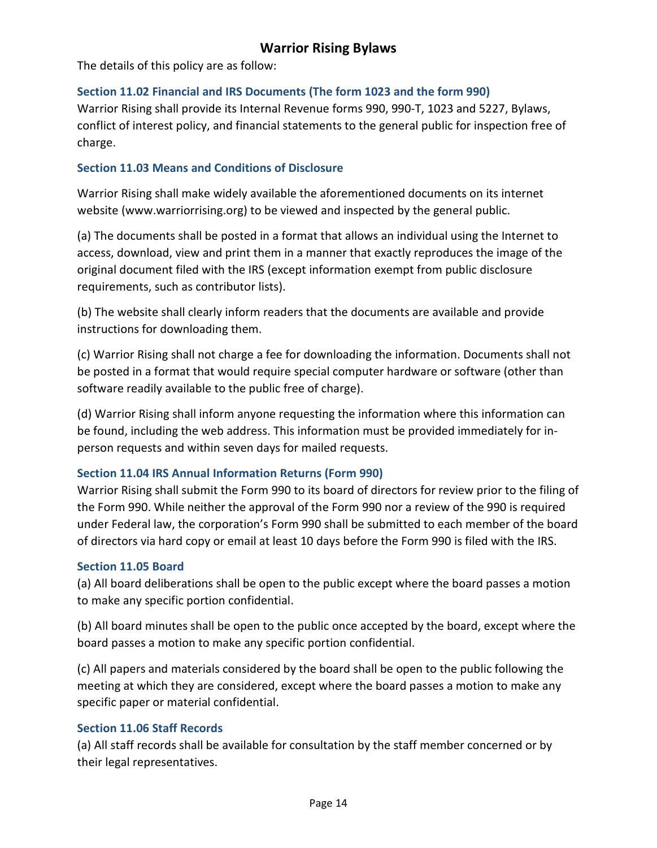The details of this policy are as follow:

## **Section 11.02 Financial and IRS Documents (The form 1023 and the form 990)**

Warrior Rising shall provide its Internal Revenue forms 990, 990-T, 1023 and 5227, Bylaws, conflict of interest policy, and financial statements to the general public for inspection free of charge.

## **Section 11.03 Means and Conditions of Disclosure**

Warrior Rising shall make widely available the aforementioned documents on its internet website (www.warriorrising.org) to be viewed and inspected by the general public.

(a) The documents shall be posted in a format that allows an individual using the Internet to access, download, view and print them in a manner that exactly reproduces the image of the original document filed with the IRS (except information exempt from public disclosure requirements, such as contributor lists).

(b) The website shall clearly inform readers that the documents are available and provide instructions for downloading them.

(c) Warrior Rising shall not charge a fee for downloading the information. Documents shall not be posted in a format that would require special computer hardware or software (other than software readily available to the public free of charge).

(d) Warrior Rising shall inform anyone requesting the information where this information can be found, including the web address. This information must be provided immediately for inperson requests and within seven days for mailed requests.

# **Section 11.04 IRS Annual Information Returns (Form 990)**

Warrior Rising shall submit the Form 990 to its board of directors for review prior to the filing of the Form 990. While neither the approval of the Form 990 nor a review of the 990 is required under Federal law, the corporation's Form 990 shall be submitted to each member of the board of directors via hard copy or email at least 10 days before the Form 990 is filed with the IRS.

### **Section 11.05 Board**

(a) All board deliberations shall be open to the public except where the board passes a motion to make any specific portion confidential.

(b) All board minutes shall be open to the public once accepted by the board, except where the board passes a motion to make any specific portion confidential.

(c) All papers and materials considered by the board shall be open to the public following the meeting at which they are considered, except where the board passes a motion to make any specific paper or material confidential.

### **Section 11.06 Staff Records**

(a) All staff records shall be available for consultation by the staff member concerned or by their legal representatives.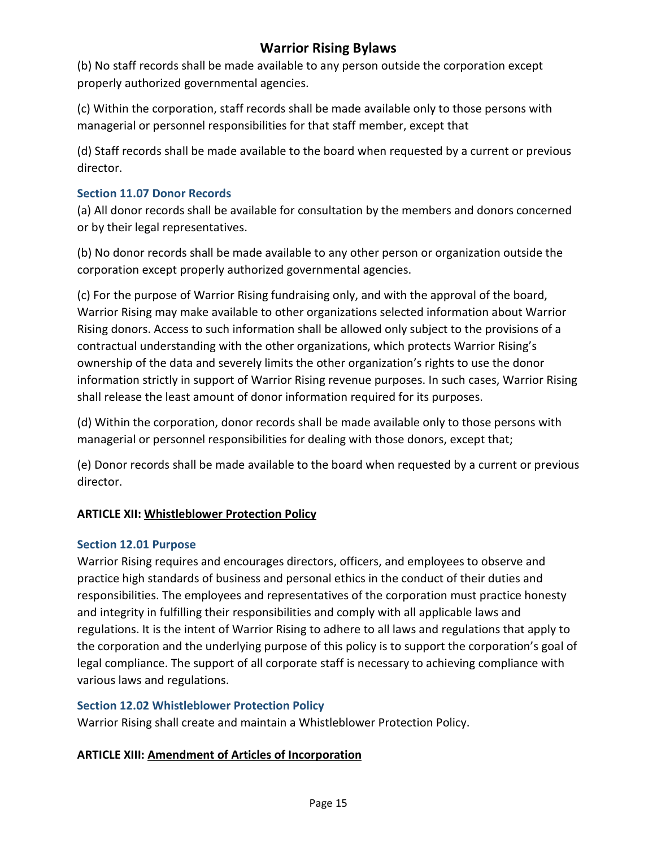(b) No staff records shall be made available to any person outside the corporation except properly authorized governmental agencies.

(c) Within the corporation, staff records shall be made available only to those persons with managerial or personnel responsibilities for that staff member, except that

(d) Staff records shall be made available to the board when requested by a current or previous director.

## **Section 11.07 Donor Records**

(a) All donor records shall be available for consultation by the members and donors concerned or by their legal representatives.

(b) No donor records shall be made available to any other person or organization outside the corporation except properly authorized governmental agencies.

(c) For the purpose of Warrior Rising fundraising only, and with the approval of the board, Warrior Rising may make available to other organizations selected information about Warrior Rising donors. Access to such information shall be allowed only subject to the provisions of a contractual understanding with the other organizations, which protects Warrior Rising's ownership of the data and severely limits the other organization's rights to use the donor information strictly in support of Warrior Rising revenue purposes. In such cases, Warrior Rising shall release the least amount of donor information required for its purposes.

(d) Within the corporation, donor records shall be made available only to those persons with managerial or personnel responsibilities for dealing with those donors, except that;

(e) Donor records shall be made available to the board when requested by a current or previous director.

# **ARTICLE XII: Whistleblower Protection Policy**

# **Section 12.01 Purpose**

Warrior Rising requires and encourages directors, officers, and employees to observe and practice high standards of business and personal ethics in the conduct of their duties and responsibilities. The employees and representatives of the corporation must practice honesty and integrity in fulfilling their responsibilities and comply with all applicable laws and regulations. It is the intent of Warrior Rising to adhere to all laws and regulations that apply to the corporation and the underlying purpose of this policy is to support the corporation's goal of legal compliance. The support of all corporate staff is necessary to achieving compliance with various laws and regulations.

### **Section 12.02 Whistleblower Protection Policy**

Warrior Rising shall create and maintain a Whistleblower Protection Policy.

# **ARTICLE XIII: Amendment of Articles of Incorporation**